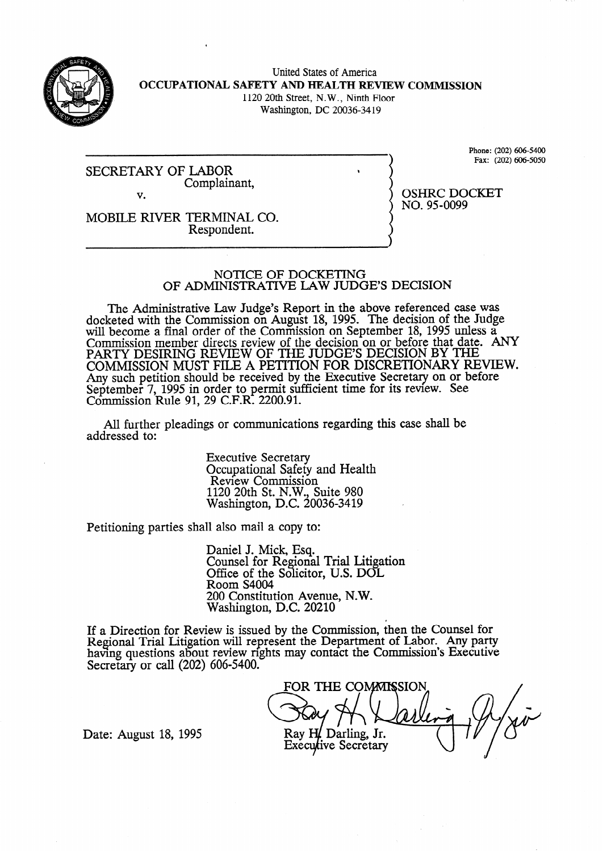

United States of America **OCCUPATIONAL SAFETY AND HEALTH REVIEW COMMISSION**  1120 20th Street, N.W., Ninth Floor Washington, DC 20036-34 19

SECRETARY OF LABOR Complainant, v.

Phone: (202) 606-5400 Fax: (202) 606-5050

OSHRC DOCKET

NO. 95-0099

MOBILE RIVER TERMINAL CO. Respondent.

## NOTICE OF DOCKETING OF ADMINISTRATIVE LAW JUDGE'S DECISION

The Administrative Law Judge's Report in the above referenced case was docketed with the Commission on August 18, 1995. The decision of the Judge will become a final order of the Commission on September 18, 1995 unless a Commission member directs review of the decision on or before that date. ANY PARTY DESIRING REVIEW OF THE JUDGES DECISION BY THE COMMISSION MUST FILE A PETITION FOR DISCRETIONARY REVIEW. Any such petition should be received by the Executive Secretary on or before September 7, 1995 in order to permit sufficient time for its review. See Commission Rule 91, 29 C.F.R. 2200.91.

All further pleadings or communications regarding this case shall be addressed to:

> Executive Secretary Occupational Safety and Health Review Commission 1120 20th St. N.W., Suite 980 Washington, D.C. 20036-3419

Petitioning parties shall also mail a copy to:

Daniel J. Mick, Esq. Counsel for Regional Trial Litigation Office of the Solicitor, U.S. DOL Room S4004 200 Constitution Avenue, N.W. Washington, D.C. 20210

If a Direction for Review is issued by the Commission, then the Counsel for Regional Trial Litigation will represent the Department of Labor. Any party having questions about review rights may contact the Commission's Executive Secretary or call (202) 606-5400.

FOR THE COMMISSION Ray H. Darling, Jr. **Executive Secretary** 

Date: August 18, 1995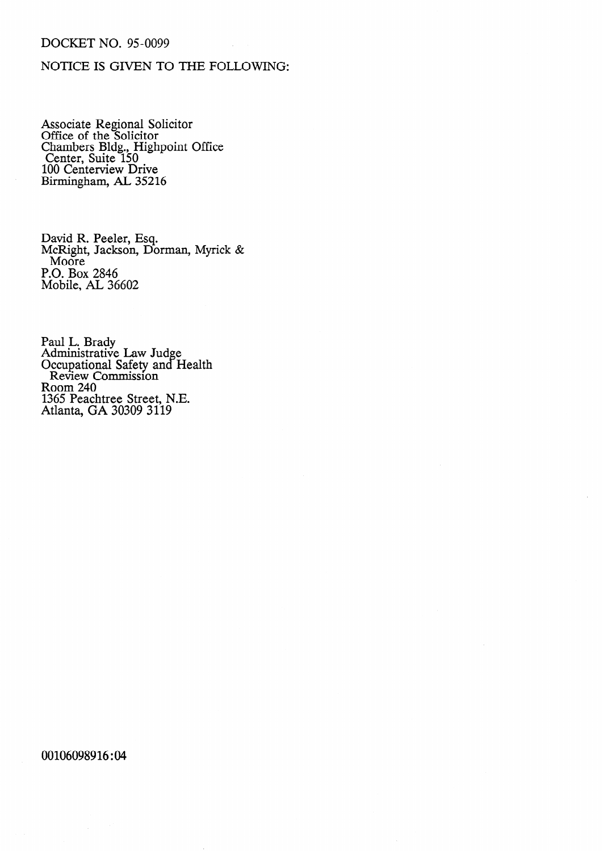## DOCKET NO. 95-0099

## NOTICE IS GIVEN TO THE FOLLOWING:

Associate Regional Solicitor Office of the Solicitor Chambe Center. rs Bldg., Highp Suite 150 100 Centerview Drive Birmingham, AL 35216 oint Office

David R. Peeler, Esq. McRight, Jackson, Dorman, Myrick & Moore P.O. Box 2846 Mobile, AL 36602

Paul L. Brady Administrative Law Judge Occupational Safety and Health Review Commission Room 240 1365 Peachtree Street, N.E. Atlanta, GA 30309 3119

00106098916:04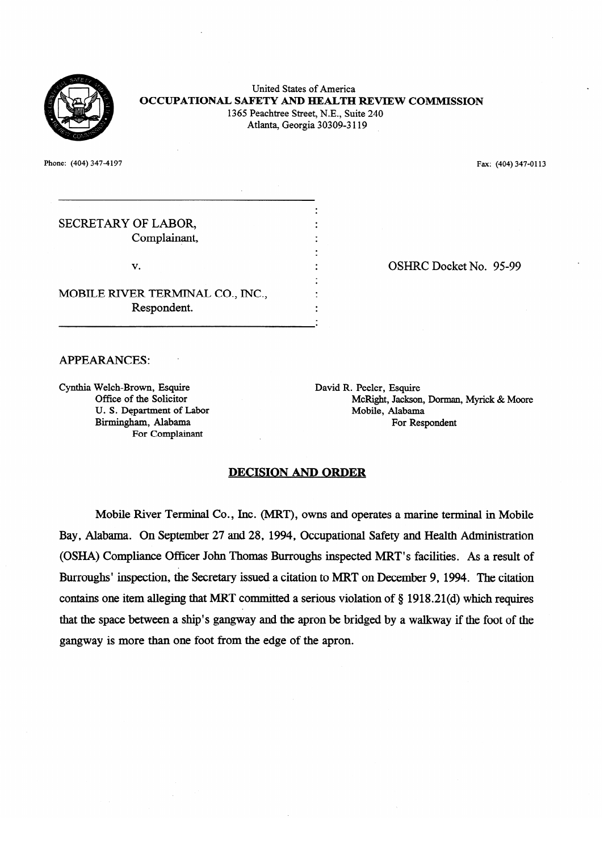

# United States of America **OCCUPATIONAL SAFETY AND HEALTH REVIEW COMMISSION** 1365 Peachtree Street, N.E., Suite 240 1365 Peachtree Street, N.E., Suite 240 Atlanta, Georgia 30309-3 119

. .

. .

. .

Phone: (404) 347-4197  $\mathcal{P}_1$  Fax: (404) 347-4197 Fax: (404) 347-4197 Fax: (404) 347-0 1134-0 1134-0 1134-0 1134-0 1134-0 1134-0 1134-0 1134-0 1134-0 1134-0 1134-0 1134-0 1134-0 1134-0 1134-0 1134-0 1134-0 1134-0 1134-0 1134-0 1134-0 1134-0

SECRETARY OF LABOR,<br>Complainant, Complainant,

v. .

MOBILE RIVER TERMINAL CO., INC., Respondent.

Respondent.

OSHRC Docket No. 95-99

#### **APPEARANCES:**

Office of the Solicitor<br>U.S. Department of Labor Birmingham, Alabama Dirmingham, Telebania 1 or Sompanie

David R. Peeler, Esquire McRight, Jackson, Dorman, Myrick & Moore Mobile, Alabama For Respondent

. OSHRC Docket No. 95-999<br>2009 - Disk Politiker No. 95-999

## **DECISION AND ORDER**

Mobile River Terminal Co., Inc. (MRT), owns and operates a marine terminal in Mobile Bay, Alabama. On September 27 and 28, 1994, Occupational Safety and Health Administration (OSHA) Compliance Officer John Thomas Burroughs inspected MRT's facilities. As a result of Burroughs' inspection, the Secretary issued a citation to MRT on December 9, 1994. The citation contains one item alleging that MRT committed a serious violation of  $\S$  1918.21(d) which requires that the space between a ship's gangway and the apron be bridged by a walkway if the foot of the gangway is more than one foot from the edge of the apron.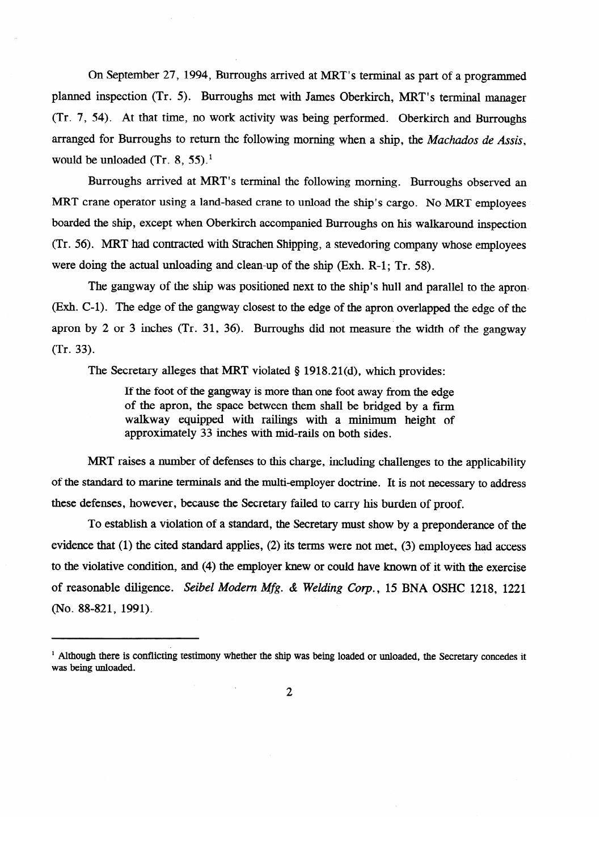On September 27, 1994, Burroughs arrived at MRT's terminal as part of a programmed planned inspection (Tr. 5). Burroughs met with James Oberkirch, MRT's terminal manager (Tr. 7, 54). At that time, no work activity was being performed. Oberkirch and Burroughs arranged for Burroughs to return the following morning when a ship, the Machados de Assis, would be unloaded  $(Tr. 8, 55).$ <sup>1</sup>

Burroughs arrived at MRT's terminal the following morning. Burroughs observed an MRT crane operator using a land-based crane to unload the ship's cargo. No MRT employees boarded the ship, except when Oberkirch accompanied Burroughs on his walkaround inspection (Tr. 56). MRT had contracted with Strachen Shipping, a stevedoring company whose employees were doing the actual unloading and clean-up of the ship (Exh. R-1; Tr. 58).

The gangway of the ship was positioned next to the ship's hull and parallel to the apron-(Exh. C-1). The edge of the gangway closest to the edge of the apron overlapped the edge of the apron by 2 or 3 inches (Tr. 31, 36). Burroughs did not measure the width of the gangway  $(Tr \quad 33)$ 

The Secretary alleges that MRT violated § 1918.21(d), which provides:

If the foot of the gangway is more than one foot away from the edge of the apron, the space between them shall be bridged by a firm walkway equipped with railings with a minimum height of approximately 33 inches with mid-rails on both sides.

MRT raises a number of defenses to this charge, including challenges to the applicability of the standard to marine terminals and the multi-employer doctrine. It is not necessary to address these defenses, however, because the Secretary failed to carry his burden of proof.

To establish a violation of a standard, the Secretary must show by a preponderance of the evidence that  $(1)$  the cited standard applies,  $(2)$  its terms were not met,  $(3)$  employees had access to the violative condition, and (4) the employer knew or could have known of it with the exercise of reasonable diligence. Seibel Modern Mfg. & Welding Corp., 15 BNA OSHC 1218, 1221 (No. 88-821, 1991).

(No. 88-821, 1991).

<sup>&</sup>lt;sup>1</sup> Although there is conflicting testimony whether the ship was being loaded or unloaded, the Secretary concedes it was being unloaded.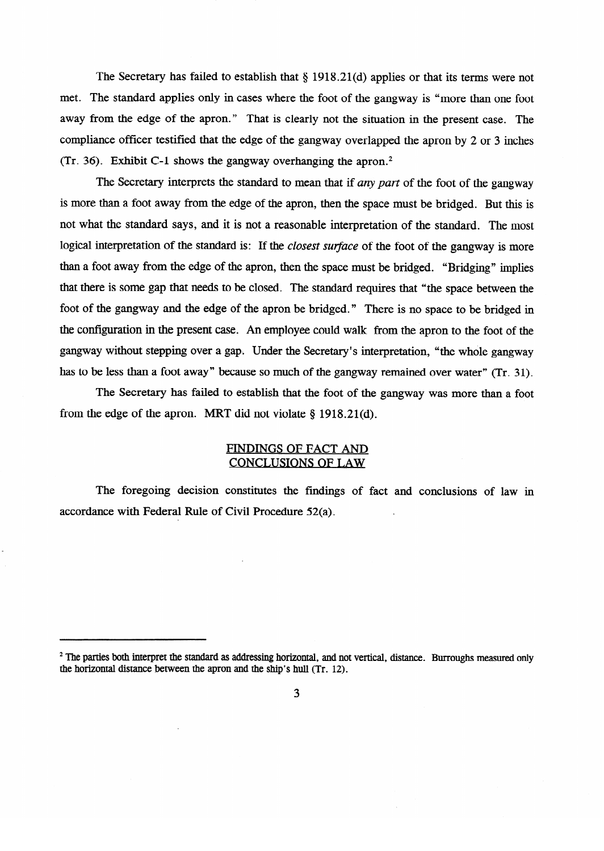The Secretary has failed to establish that  $\S 1918.21(d)$  applies or that its terms were not met. The standard applies only in cases where the foot of the gangway is "more than one foot away from the edge of the apron." That is clearly not the situation in the present case. The compliance officer testified that the edge of the gangway overlapped the apron by 2 or 3 inches (Tr. 36). Exhibit C-l shows the gangway overhanging the apron.2

The Secretary interprets the standard to mean that if *any part* of the foot of the gangway is more than a foot away from the edge of the apron, then the space must be bridged. But this is not what the standard says, and it is not a reasonable interpretation of the standard. The most<br>logical interpretation of the standard is: If the *closest surface* of the foot of the gangway is more than a foot away from the edge of the apron, then the space must be bridged. "Bridging" implies that there is some gap that needs to be closed. The standard requires that "the space between the foot of the gangway and the edge of the apron be bridged." There is no space to be bridged in the configuration in the present case. An employee could walk from the apron to the foot of the gangway without stepping over a gap. Under the Secretary's interpretation, "the whole gangway has to be less than a foot away" because so much of the gangway remained over water" (Tr. 31).

The Secretary has failed to establish that the foot of the gangway was more than a foot from the edge of the apron. MRT did not violate  $\S$  1918.21(d).

# FINDINGS OF FACT AND CONCLUSIONS OF LAW

The foregoing decision constitutes the findings of fact and conclusions of law in accordance with Federal Rule of Civil Procedure 52(a).

<sup>&</sup>lt;sup>2</sup> The parties both interpret the standard as addressing horizontal, and not vertical, distance. Burroughs measured only the horizontal distance between the apron and the ship's hull (Tr. 12).